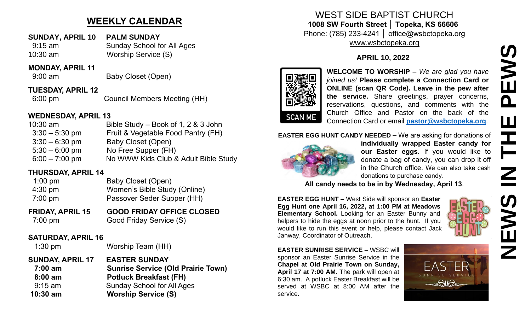# **WEEKLY CALENDAR**

- **SUNDAY, APRIL 10 PALM SUNDAY**
- 9:15 am Sunday School for All Ages 10:30 am Worship Service (S)

#### **MONDAY, APRIL 11**

9:00 am Baby Closet (Open)

**TUESDAY, APRIL 12**

6:00 pm Council Members Meeting (HH)

### **WEDNESDAY, APRIL 13**

| $10:30$ am       | Bible Study – Book of 1, 2 & 3 John  |
|------------------|--------------------------------------|
| $3:30 - 5:30$ pm | Fruit & Vegetable Food Pantry (FH)   |
| $3:30 - 6:30$ pm | Baby Closet (Open)                   |
| $5:30 - 6:00$ pm | No Free Supper (FH)                  |
| $6:00 - 7:00$ pm | No WWW Kids Club & Adult Bible Study |

### **THURSDAY, APRIL 14**

| $1:00 \text{ pm}$ | Baby Closet (Open)           |
|-------------------|------------------------------|
| $4:30 \text{ pm}$ | Women's Bible Study (Online) |
| $7:00 \text{ pm}$ | Passover Seder Supper (HH)   |

**FRIDAY, APRIL 15 GOOD FRIDAY OFFICE CLOSED** 7:00 pm Good Friday Service (S)

### **SATURDAY, APRIL 16**

1:30 pm Worship Team (HH)

**SUNDAY, APRIL 17 EASTER SUNDAY 7:00 am Sunrise Service (Old Prairie Town) 8:00 am Potluck Breakfast (FH)**  9:15 am Sunday School for All Ages **10:30 am Worship Service (S)**

## WEST SIDE BAPTIST CHURCH **1008 SW Fourth Street │ Topeka, KS 66606** Phone: (785) 233-4241 │ office@wsbctopeka.org [www.wsbctopeka.org](http://www.wsbctopeka.org/)

## **APRIL 10, 2022**



**WELCOME TO WORSHIP –** *We are glad you have joined us!* **Please complete a Connection Card or ONLINE (scan QR Code). Leave in the pew after the service.** Share greetings, prayer concerns, reservations, questions, and comments with the Church Office and Pastor on the back of the Connection Card or email **[pastor@wsbctopeka.org](mailto:pastor@wsbctopeka.org)**.

#### **EASTER EGG HUNT CANDY NEEDED –** We are asking for donations of



**individually wrapped Easter candy for our Easter eggs.** If you would like to donate a bag of candy, you can drop it off in the Church office. We can also take cash donations to purchase candy.

**All candy needs to be in by Wednesday, April 13**.

**EASTER EGG HUNT** – West Side will sponsor an **Easter Egg Hunt one April 16, 2022, at 1:00 PM at Meadows Elementary School.** Looking for an Easter Bunny and helpers to hide the eggs at noon prior to the hunt. If you would like to run this event or help, please contact Jack Janway, Coordinator of Outreach.



**NEWS IN THE PEWS**

 $\mathbf{Z}$ 

<u>(၇</u>

 $\mathbf{\Sigma}$ 

Z

곤

EWS

<u>ո</u>

Ш

**EASTER SUNRISE SERVICE – WSBC will** sponsor an Easter Sunrise Service in the **Chapel at Old Prairie Town on Sunday, April 17 at 7:00 AM**. The park will open at 6:30 am. A potluck Easter Breakfast will be served at WSBC at 8:00 AM after the service.